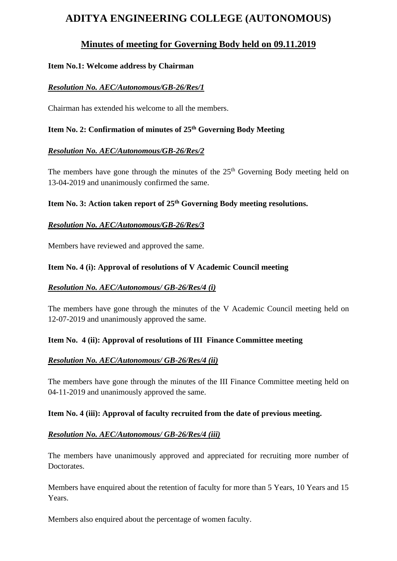# **ADITYA ENGINEERING COLLEGE (AUTONOMOUS)**

## **Minutes of meeting for Governing Body held on 09.11.2019**

### **Item No.1: Welcome address by Chairman**

### *Resolution No. AEC/Autonomous/GB-26/Res/1*

Chairman has extended his welcome to all the members.

### **Item No. 2: Confirmation of minutes of 25 th Governing Body Meeting**

### *Resolution No. AEC/Autonomous/GB-26/Res/2*

The members have gone through the minutes of the  $25<sup>th</sup>$  Governing Body meeting held on 13-04-2019 and unanimously confirmed the same.

### **Item No. 3: Action taken report of 25 th Governing Body meeting resolutions.**

### *Resolution No. AEC/Autonomous/GB-26/Res/3*

Members have reviewed and approved the same.

### **Item No. 4 (i): Approval of resolutions of V Academic Council meeting**

### *Resolution No. AEC/Autonomous/ GB-26/Res/4 (i)*

The members have gone through the minutes of the V Academic Council meeting held on 12-07-2019 and unanimously approved the same.

### **Item No. 4 (ii): Approval of resolutions of III Finance Committee meeting**

### *Resolution No. AEC/Autonomous/ GB-26/Res/4 (ii)*

The members have gone through the minutes of the III Finance Committee meeting held on 04-11-2019 and unanimously approved the same.

### **Item No. 4 (iii): Approval of faculty recruited from the date of previous meeting.**

### *Resolution No. AEC/Autonomous/ GB-26/Res/4 (iii)*

The members have unanimously approved and appreciated for recruiting more number of Doctorates.

Members have enquired about the retention of faculty for more than 5 Years, 10 Years and 15 Years.

Members also enquired about the percentage of women faculty.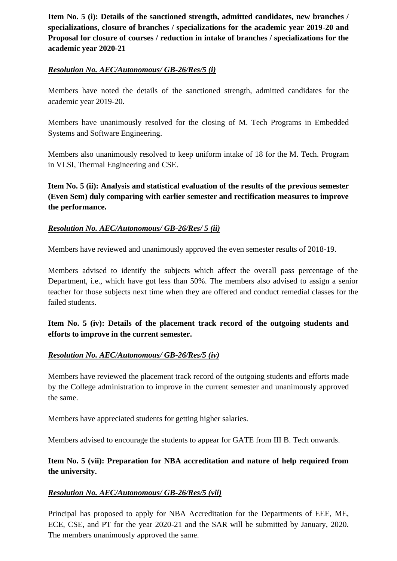**Item No. 5 (i): Details of the sanctioned strength, admitted candidates, new branches / specializations, closure of branches / specializations for the academic year 2019-20 and Proposal for closure of courses / reduction in intake of branches / specializations for the academic year 2020-21**

### *Resolution No. AEC/Autonomous/ GB-26/Res/5 (i)*

Members have noted the details of the sanctioned strength, admitted candidates for the academic year 2019-20.

Members have unanimously resolved for the closing of M. Tech Programs in Embedded Systems and Software Engineering.

Members also unanimously resolved to keep uniform intake of 18 for the M. Tech. Program in VLSI, Thermal Engineering and CSE.

**Item No. 5 (ii): Analysis and statistical evaluation of the results of the previous semester (Even Sem) duly comparing with earlier semester and rectification measures to improve the performance.**

### *Resolution No. AEC/Autonomous/ GB-26/Res/ 5 (ii)*

Members have reviewed and unanimously approved the even semester results of 2018-19.

Members advised to identify the subjects which affect the overall pass percentage of the Department, i.e., which have got less than 50%. The members also advised to assign a senior teacher for those subjects next time when they are offered and conduct remedial classes for the failed students.

### **Item No. 5 (iv): Details of the placement track record of the outgoing students and efforts to improve in the current semester.**

### *Resolution No. AEC/Autonomous/ GB-26/Res/5 (iv)*

Members have reviewed the placement track record of the outgoing students and efforts made by the College administration to improve in the current semester and unanimously approved the same.

Members have appreciated students for getting higher salaries.

Members advised to encourage the students to appear for GATE from III B. Tech onwards.

**Item No. 5 (vii): Preparation for NBA accreditation and nature of help required from the university.** 

### *Resolution No. AEC/Autonomous/ GB-26/Res/5 (vii)*

Principal has proposed to apply for NBA Accreditation for the Departments of EEE, ME, ECE, CSE, and PT for the year 2020-21 and the SAR will be submitted by January, 2020. The members unanimously approved the same.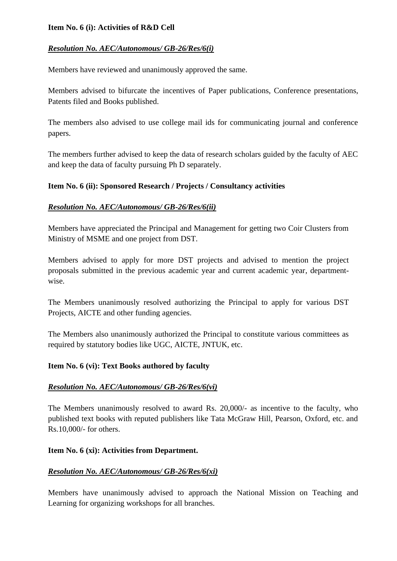#### **Item No. 6 (i): Activities of R&D Cell**

### *Resolution No. AEC/Autonomous/ GB-26/Res/6(i)*

Members have reviewed and unanimously approved the same.

Members advised to bifurcate the incentives of Paper publications, Conference presentations, Patents filed and Books published.

The members also advised to use college mail ids for communicating journal and conference papers.

The members further advised to keep the data of research scholars guided by the faculty of AEC and keep the data of faculty pursuing Ph D separately.

### **Item No. 6 (ii): Sponsored Research / Projects / Consultancy activities**

### *Resolution No. AEC/Autonomous/ GB-26/Res/6(ii)*

Members have appreciated the Principal and Management for getting two Coir Clusters from Ministry of MSME and one project from DST.

Members advised to apply for more DST projects and advised to mention the project proposals submitted in the previous academic year and current academic year, departmentwise.

The Members unanimously resolved authorizing the Principal to apply for various DST Projects, AICTE and other funding agencies.

The Members also unanimously authorized the Principal to constitute various committees as required by statutory bodies like UGC, AICTE, JNTUK, etc.

### **Item No. 6 (vi): Text Books authored by faculty**

### *Resolution No. AEC/Autonomous/ GB-26/Res/6(vi)*

The Members unanimously resolved to award Rs. 20,000/- as incentive to the faculty, who published text books with reputed publishers like Tata McGraw Hill, Pearson, Oxford, etc. and Rs.10,000/- for others.

#### **Item No. 6 (xi): Activities from Department.**

### *Resolution No. AEC/Autonomous/ GB-26/Res/6(xi)*

Members have unanimously advised to approach the National Mission on Teaching and Learning for organizing workshops for all branches.